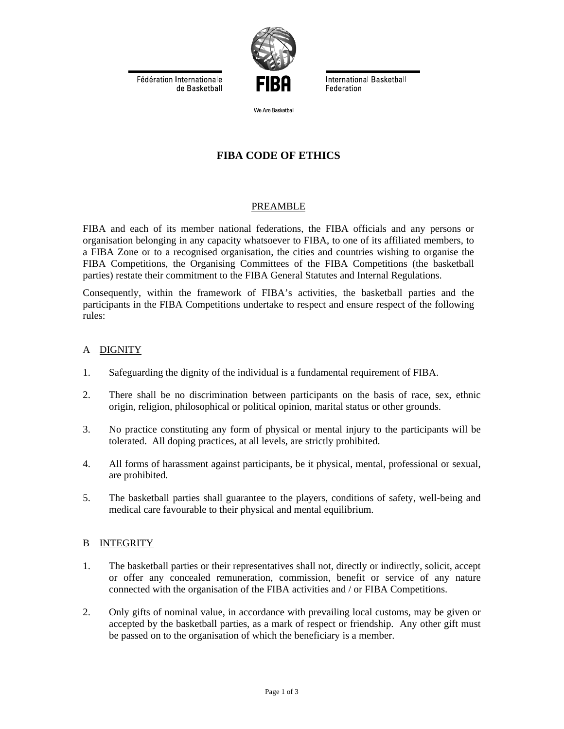

**International Basketball** Federation

Fédération Internationale de Basketball

We Are Basketball

# **FIBA CODE OF ETHICS**

### PREAMBLE

FIBA and each of its member national federations, the FIBA officials and any persons or organisation belonging in any capacity whatsoever to FIBA, to one of its affiliated members, to a FIBA Zone or to a recognised organisation, the cities and countries wishing to organise the FIBA Competitions, the Organising Committees of the FIBA Competitions (the basketball parties) restate their commitment to the FIBA General Statutes and Internal Regulations.

Consequently, within the framework of FIBA's activities, the basketball parties and the participants in the FIBA Competitions undertake to respect and ensure respect of the following rules:

### A DIGNITY

- 1. Safeguarding the dignity of the individual is a fundamental requirement of FIBA.
- 2. There shall be no discrimination between participants on the basis of race, sex, ethnic origin, religion, philosophical or political opinion, marital status or other grounds.
- 3. No practice constituting any form of physical or mental injury to the participants will be tolerated. All doping practices, at all levels, are strictly prohibited.
- 4. All forms of harassment against participants, be it physical, mental, professional or sexual, are prohibited.
- 5. The basketball parties shall guarantee to the players, conditions of safety, well-being and medical care favourable to their physical and mental equilibrium.

### B INTEGRITY

- 1. The basketball parties or their representatives shall not, directly or indirectly, solicit, accept or offer any concealed remuneration, commission, benefit or service of any nature connected with the organisation of the FIBA activities and / or FIBA Competitions.
- 2. Only gifts of nominal value, in accordance with prevailing local customs, may be given or accepted by the basketball parties, as a mark of respect or friendship. Any other gift must be passed on to the organisation of which the beneficiary is a member.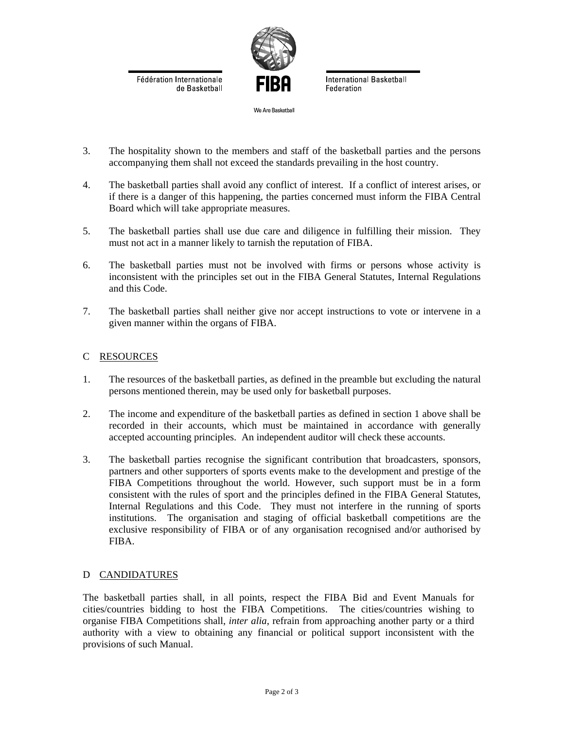



**International Basketball** Federation

We Are Basketball

- 3. The hospitality shown to the members and staff of the basketball parties and the persons accompanying them shall not exceed the standards prevailing in the host country.
- 4. The basketball parties shall avoid any conflict of interest. If a conflict of interest arises, or if there is a danger of this happening, the parties concerned must inform the FIBA Central Board which will take appropriate measures.
- 5. The basketball parties shall use due care and diligence in fulfilling their mission. They must not act in a manner likely to tarnish the reputation of FIBA.
- 6. The basketball parties must not be involved with firms or persons whose activity is inconsistent with the principles set out in the FIBA General Statutes, Internal Regulations and this Code.
- 7. The basketball parties shall neither give nor accept instructions to vote or intervene in a given manner within the organs of FIBA.

#### C RESOURCES

- 1. The resources of the basketball parties, as defined in the preamble but excluding the natural persons mentioned therein, may be used only for basketball purposes.
- 2. The income and expenditure of the basketball parties as defined in section 1 above shall be recorded in their accounts, which must be maintained in accordance with generally accepted accounting principles. An independent auditor will check these accounts.
- 3. The basketball parties recognise the significant contribution that broadcasters, sponsors, partners and other supporters of sports events make to the development and prestige of the FIBA Competitions throughout the world. However, such support must be in a form consistent with the rules of sport and the principles defined in the FIBA General Statutes, Internal Regulations and this Code. They must not interfere in the running of sports institutions. The organisation and staging of official basketball competitions are the exclusive responsibility of FIBA or of any organisation recognised and/or authorised by FIBA.

#### D CANDIDATURES

The basketball parties shall, in all points, respect the FIBA Bid and Event Manuals for cities/countries bidding to host the FIBA Competitions. The cities/countries wishing to organise FIBA Competitions shall, *inter alia*, refrain from approaching another party or a third authority with a view to obtaining any financial or political support inconsistent with the provisions of such Manual.